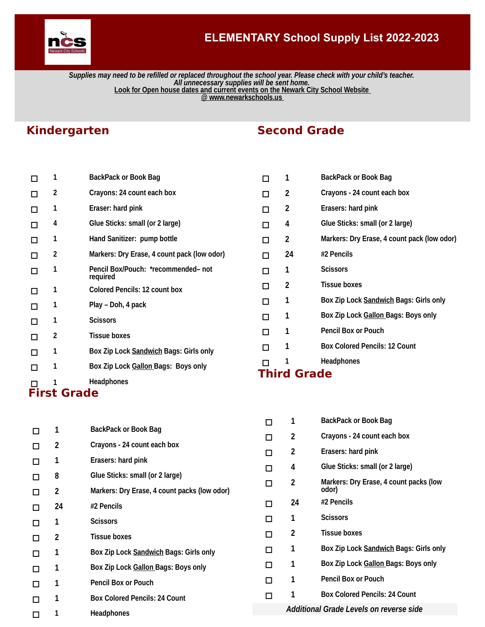

### **ELEMENTARY School Supply List 2022-2023**

*Supplies may need to be refilled or replaced throughout the school year. Please check with your child's teacher. All unnecessary supplies will be sent home.*  **Look for Open house dates and current events on the Newark City School Website @ www.newarkschools.us** 

## **Kindergarten**

|    | <b>First Grade</b> |                                                 |
|----|--------------------|-------------------------------------------------|
|    | 1                  | <b>Headphones</b>                               |
|    | 1                  | Box Zip Lock Gallon Bags: Boys only             |
| П  | 1                  | Box Zip Lock Sandwich Bags: Girls only          |
| П  | 2                  | <b>Tissue boxes</b>                             |
| П  | 1                  | <b>Scissors</b>                                 |
|    | 1                  | Play – Doh, 4 pack                              |
| П  | 1                  | <b>Colored Pencils: 12 count box</b>            |
|    | 1                  | Pencil Box/Pouch: *recommended- not<br>required |
| П  | 2                  | Markers: Dry Erase, 4 count pack (low odor)     |
|    | 1                  | Hand Sanitizer: pump bottle                     |
| ΙI | 4                  | Glue Sticks: small (or 2 large)                 |
|    | 1                  | Eraser: hard pink                               |
|    | 2                  | Crayons: 24 count each box                      |
|    | 1                  | <b>BackPack or Book Bag</b>                     |

# **Second Grade**

|                    | 1  | <b>BackPack or Book Bag</b>                 |  |  |
|--------------------|----|---------------------------------------------|--|--|
| П                  | 2  | Crayons - 24 count each box                 |  |  |
| П                  | 2  | Erasers: hard pink                          |  |  |
| п                  | 4  | Glue Sticks: small (or 2 large)             |  |  |
| ⊓                  | 2  | Markers: Dry Erase, 4 count pack (low odor) |  |  |
| П                  | 24 | #2 Pencils                                  |  |  |
| п                  | 1  | <b>Scissors</b>                             |  |  |
| п                  | 2  | <b>Tissue boxes</b>                         |  |  |
| П                  | 1  | Box Zip Lock Sandwich Bags: Girls only      |  |  |
| П                  | 1  | Box Zip Lock Gallon Bags: Boys only         |  |  |
| п                  | 1  | <b>Pencil Box or Pouch</b>                  |  |  |
| П                  | 1  | <b>Box Colored Pencils: 12 Count</b>        |  |  |
|                    | 1  | <b>Headphones</b>                           |  |  |
| <b>Third Grade</b> |    |                                             |  |  |

|             |    |                                              | п      | 1                       | <b>BackPack or Book Bag</b>                     |
|-------------|----|----------------------------------------------|--------|-------------------------|-------------------------------------------------|
| $\Box$      | 1  | <b>BackPack or Book Bag</b>                  | □      | 2                       | Crayons - 24 count each box                     |
| $\Box$      | 2  | Crayons - 24 count each box                  |        |                         |                                                 |
| □           | 1  | Erasers: hard pink                           | $\Box$ | 2                       | Erasers: hard pink                              |
|             | 8  | Glue Sticks: small (or 2 large)              | □      | 4                       | Glue Sticks: small (or 2 large)                 |
| □<br>$\Box$ | 2  | Markers: Dry Erase, 4 count packs (low odor) | $\Box$ | $\overline{\mathbf{c}}$ | Markers: Dry Erase, 4 count packs (low<br>odor) |
| $\Box$      | 24 | #2 Pencils                                   | □      | 24                      | #2 Pencils                                      |
| О           | 1  | <b>Scissors</b>                              | □      | 1                       | <b>Scissors</b>                                 |
| □           | 2  | <b>Tissue boxes</b>                          | □      | 2                       | <b>Tissue boxes</b>                             |
| $\Box$      | 1  | Box Zip Lock Sandwich Bags: Girls only       | □      | 1                       | Box Zip Lock Sandwich Bags: Girls only          |
| $\Box$      | 1  | Box Zip Lock Gallon Bags: Boys only          | □      | 1                       | Box Zip Lock Gallon Bags: Boys only             |
| $\Box$      | 1  | <b>Pencil Box or Pouch</b>                   | □      | 1                       | <b>Pencil Box or Pouch</b>                      |
| $\Box$      | 1  | <b>Box Colored Pencils: 24 Count</b>         | □      |                         | <b>Box Colored Pencils: 24 Count</b>            |
| □           | 1  | <b>Headphones</b>                            |        |                         | Additional Grade Levels on reverse side         |
|             |    |                                              |        |                         |                                                 |